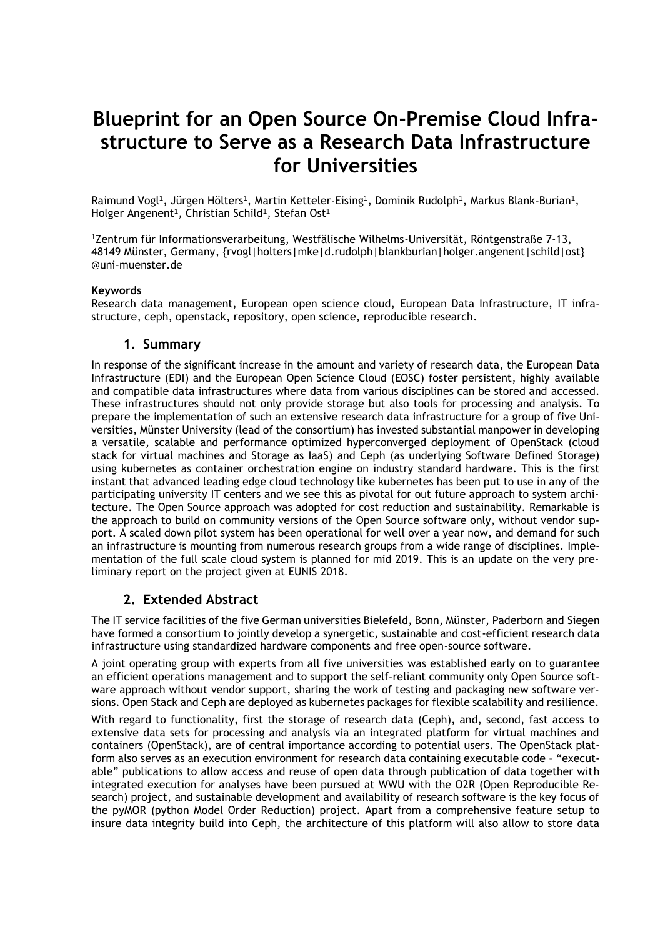# **Blueprint for an Open Source On-Premise Cloud Infrastructure to Serve as a Research Data Infrastructure for Universities**

Raimund Vogl<sup>1</sup>, Jürgen Hölters<sup>1</sup>, Martin Ketteler-Eising<sup>1</sup>, Dominik Rudolph<sup>1</sup>, Markus Blank-Burian<sup>1</sup>, Holger Angenent<sup>1</sup>, Christian Schild<sup>1</sup>, Stefan Ost<sup>1</sup>

<sup>1</sup>Zentrum für Informationsverarbeitung, Westfälische Wilhelms-Universität, Röntgenstraße 7-13, 48149 Münster, Germany, {rvogl|holters|mke|d.rudolph|blankburian|holger.angenent|schild|ost} @uni-muenster.de

### **Keywords**

Research data management, European open science cloud, European Data Infrastructure, IT infrastructure, ceph, openstack, repository, open science, reproducible research.

## **1. Summary**

In response of the significant increase in the amount and variety of research data, the European Data Infrastructure (EDI) and the European Open Science Cloud (EOSC) foster persistent, highly available and compatible data infrastructures where data from various disciplines can be stored and accessed. These infrastructures should not only provide storage but also tools for processing and analysis. To prepare the implementation of such an extensive research data infrastructure for a group of five Universities, Münster University (lead of the consortium) has invested substantial manpower in developing a versatile, scalable and performance optimized hyperconverged deployment of OpenStack (cloud stack for virtual machines and Storage as IaaS) and Ceph (as underlying Software Defined Storage) using kubernetes as container orchestration engine on industry standard hardware. This is the first instant that advanced leading edge cloud technology like kubernetes has been put to use in any of the participating university IT centers and we see this as pivotal for out future approach to system architecture. The Open Source approach was adopted for cost reduction and sustainability. Remarkable is the approach to build on community versions of the Open Source software only, without vendor support. A scaled down pilot system has been operational for well over a year now, and demand for such an infrastructure is mounting from numerous research groups from a wide range of disciplines. Implementation of the full scale cloud system is planned for mid 2019. This is an update on the very preliminary report on the project given at EUNIS 2018.

## **2. Extended Abstract**

The IT service facilities of the five German universities Bielefeld, Bonn, Münster, Paderborn and Siegen have formed a consortium to jointly develop a synergetic, sustainable and cost-efficient research data infrastructure using standardized hardware components and free open-source software.

A joint operating group with experts from all five universities was established early on to guarantee an efficient operations management and to support the self-reliant community only Open Source software approach without vendor support, sharing the work of testing and packaging new software versions. Open Stack and Ceph are deployed as kubernetes packages for flexible scalability and resilience.

With regard to functionality, first the storage of research data (Ceph), and, second, fast access to extensive data sets for processing and analysis via an integrated platform for virtual machines and containers (OpenStack), are of central importance according to potential users. The OpenStack platform also serves as an execution environment for research data containing executable code – "executable" publications to allow access and reuse of open data through publication of data together with integrated execution for analyses have been pursued at WWU with the O2R (Open Reproducible Research) project, and sustainable development and availability of research software is the key focus of the pyMOR (python Model Order Reduction) project. Apart from a comprehensive feature setup to insure data integrity build into Ceph, the architecture of this platform will also allow to store data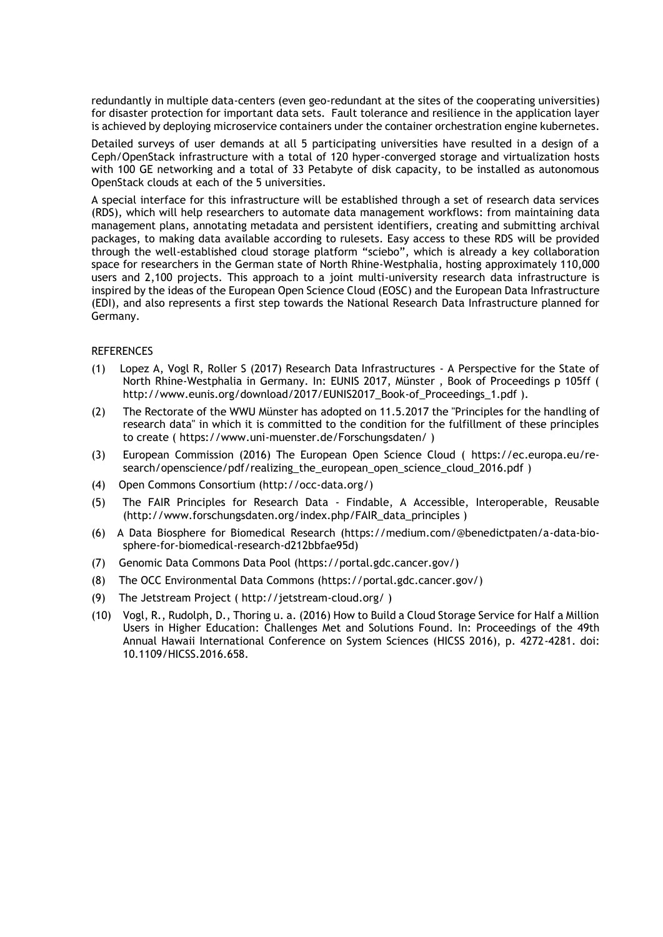redundantly in multiple data-centers (even geo-redundant at the sites of the cooperating universities) for disaster protection for important data sets. Fault tolerance and resilience in the application layer is achieved by deploying microservice containers under the container orchestration engine kubernetes.

Detailed surveys of user demands at all 5 participating universities have resulted in a design of a Ceph/OpenStack infrastructure with a total of 120 hyper-converged storage and virtualization hosts with 100 GE networking and a total of 33 Petabyte of disk capacity, to be installed as autonomous OpenStack clouds at each of the 5 universities.

A special interface for this infrastructure will be established through a set of research data services (RDS), which will help researchers to automate data management workflows: from maintaining data management plans, annotating metadata and persistent identifiers, creating and submitting archival packages, to making data available according to rulesets. Easy access to these RDS will be provided through the well-established cloud storage platform "sciebo", which is already a key collaboration space for researchers in the German state of North Rhine-Westphalia, hosting approximately 110,000 users and 2,100 projects. This approach to a joint multi-university research data infrastructure is inspired by the ideas of the European Open Science Cloud (EOSC) and the European Data Infrastructure (EDI), and also represents a first step towards the National Research Data Infrastructure planned for Germany.

### **REFERENCES**

- (1) Lopez A, Vogl R, Roller S (2017) Research Data Infrastructures A Perspective for the State of North Rhine-Westphalia in Germany. In: EUNIS 2017, Münster , Book of Proceedings p 105ff ( [http://www.eunis.org/download/2017/EUNIS2017\\_Book-of\\_Proceedings\\_1.pdf](https://translate.google.com/translate?hl=en&prev=_t&sl=de&tl=en&u=http://www.eunis.org/download/2017/EUNIS2017_Book-of_Proceedings_1.pdf) ).
- (2) The Rectorate of the WWU Münster has adopted on 11.5.2017 the "Principles for the handling of research data" in which it is committed to the condition for the fulfillment of these principles to create ( https://www.uni-muenster.de/Forschungsdaten/ )
- (3) European Commission (2016) The European Open Science Cloud ( [https://ec.europa.eu/re](https://translate.google.com/translate?hl=en&prev=_t&sl=de&tl=en&u=https://ec.europa.eu/research/openscience/pdf/realising_the_european_open_science_cloud_2016.pdf)[search/openscience/pdf/realizing\\_the\\_european\\_open\\_science\\_cloud\\_2016.pdf](https://translate.google.com/translate?hl=en&prev=_t&sl=de&tl=en&u=https://ec.europa.eu/research/openscience/pdf/realising_the_european_open_science_cloud_2016.pdf) )
- (4) Open Commons Consortium (http://occ-data.org/)
- (5) The FAIR Principles for Research Data Findable, A Accessible, Interoperable, Reusable (http://www.forschungsdaten.org/index.php/FAIR\_data\_principles )
- (6) A Data Biosphere for Biomedical Research (https://medium.com/@benedictpaten/a-data-biosphere-for-biomedical-research-d212bbfae95d)
- (7) Genomic Data Commons Data Pool (https://portal.gdc.cancer.gov/)
- (8) The OCC Environmental Data Commons (https://portal.gdc.cancer.gov/)
- (9) The Jetstream Project ( http://jetstream-cloud.org/ )
- (10) Vogl, R., Rudolph, D., Thoring u. a. (2016) How to Build a Cloud Storage Service for Half a Million Users in Higher Education: Challenges Met and Solutions Found. In: Proceedings of the 49th Annual Hawaii International Conference on System Sciences (HICSS 2016), p. 4272-4281. doi: 10.1109/HICSS.2016.658.